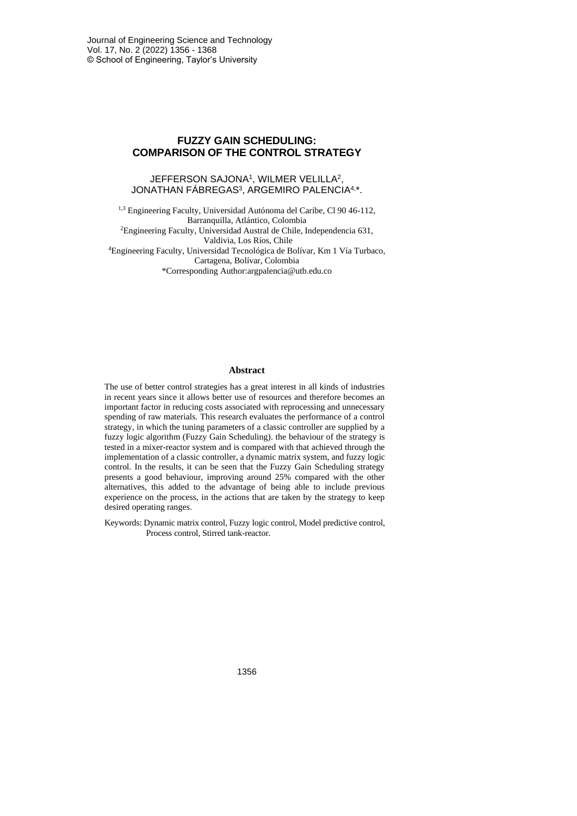# **FUZZY GAIN SCHEDULING: COMPARISON OF THE CONTROL STRATEGY**

#### JEFFERSON SAJONA<sup>1</sup> , WILMER VELILLA<sup>2</sup> , JONATHAN FÁBREGAS<sup>3</sup> , ARGEMIRO PALENCIA4, \*.

1,3 Engineering Faculty, Universidad Autónoma del Caribe, Cl 90 46-112, Barranquilla, Atlántico, Colombia <sup>2</sup>Engineering Faculty, Universidad Austral de Chile, Independencia 631, Valdivia, Los Ríos, Chile <sup>4</sup>Engineering Faculty, Universidad Tecnológica de Bolívar, Km 1 Vía Turbaco, Cartagena, Bolívar, Colombia \*Corresponding Author:argpalencia@utb.edu.co

#### **Abstract**

The use of better control strategies has a great interest in all kinds of industries in recent years since it allows better use of resources and therefore becomes an important factor in reducing costs associated with reprocessing and unnecessary spending of raw materials. This research evaluates the performance of a control strategy, in which the tuning parameters of a classic controller are supplied by a fuzzy logic algorithm (Fuzzy Gain Scheduling). the behaviour of the strategy is tested in a mixer-reactor system and is compared with that achieved through the implementation of a classic controller, a dynamic matrix system, and fuzzy logic control. In the results, it can be seen that the Fuzzy Gain Scheduling strategy presents a good behaviour, improving around 25% compared with the other alternatives, this added to the advantage of being able to include previous experience on the process, in the actions that are taken by the strategy to keep desired operating ranges.

Keywords: Dynamic matrix control, Fuzzy logic control, Model predictive control, Process control, Stirred tank-reactor.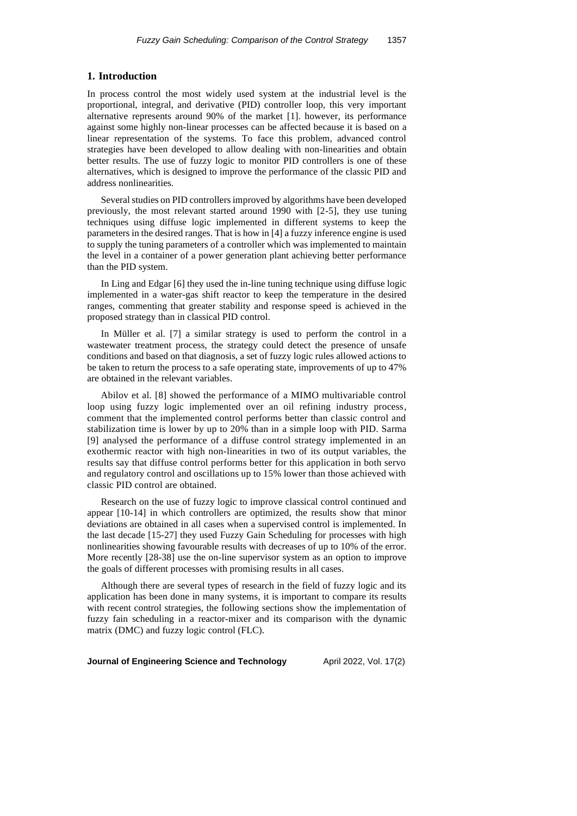### **1. Introduction**

In process control the most widely used system at the industrial level is the proportional, integral, and derivative (PID) controller loop, this very important alternative represents around 90% of the market [1]. however, its performance against some highly non-linear processes can be affected because it is based on a linear representation of the systems. To face this problem, advanced control strategies have been developed to allow dealing with non-linearities and obtain better results. The use of fuzzy logic to monitor PID controllers is one of these alternatives, which is designed to improve the performance of the classic PID and address nonlinearities.

Several studies on PID controllers improved by algorithms have been developed previously, the most relevant started around 1990 with [2-5], they use tuning techniques using diffuse logic implemented in different systems to keep the parameters in the desired ranges. That is how in [4] a fuzzy inference engine is used to supply the tuning parameters of a controller which was implemented to maintain the level in a container of a power generation plant achieving better performance than the PID system.

In Ling and Edgar [6] they used the in-line tuning technique using diffuse logic implemented in a water-gas shift reactor to keep the temperature in the desired ranges, commenting that greater stability and response speed is achieved in the proposed strategy than in classical PID control.

In Müller et al. [7] a similar strategy is used to perform the control in a wastewater treatment process, the strategy could detect the presence of unsafe conditions and based on that diagnosis, a set of fuzzy logic rules allowed actions to be taken to return the process to a safe operating state, improvements of up to 47% are obtained in the relevant variables.

Abilov et al. [8] showed the performance of a MIMO multivariable control loop using fuzzy logic implemented over an oil refining industry process, comment that the implemented control performs better than classic control and stabilization time is lower by up to 20% than in a simple loop with PID. Sarma [9] analysed the performance of a diffuse control strategy implemented in an exothermic reactor with high non-linearities in two of its output variables, the results say that diffuse control performs better for this application in both servo and regulatory control and oscillations up to 15% lower than those achieved with classic PID control are obtained.

Research on the use of fuzzy logic to improve classical control continued and appear [10-14] in which controllers are optimized, the results show that minor deviations are obtained in all cases when a supervised control is implemented. In the last decade [15-27] they used Fuzzy Gain Scheduling for processes with high nonlinearities showing favourable results with decreases of up to 10% of the error. More recently [28-38] use the on-line supervisor system as an option to improve the goals of different processes with promising results in all cases.

Although there are several types of research in the field of fuzzy logic and its application has been done in many systems, it is important to compare its results with recent control strategies, the following sections show the implementation of fuzzy fain scheduling in a reactor-mixer and its comparison with the dynamic matrix (DMC) and fuzzy logic control (FLC).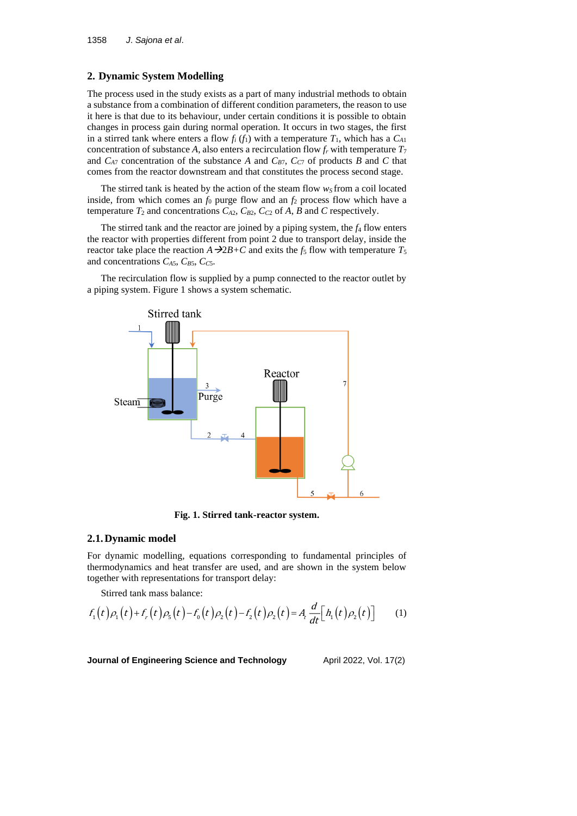# **2. Dynamic System Modelling**

The process used in the study exists as a part of many industrial methods to obtain a substance from a combination of different condition parameters, the reason to use it here is that due to its behaviour, under certain conditions it is possible to obtain changes in process gain during normal operation. It occurs in two stages, the first in a stirred tank where enters a flow  $f_i(f_1)$  with a temperature  $T_1$ , which has a  $C_{A1}$ concentration of substance *A*, also enters a recirculation flow  $f_r$  with temperature  $T_7$ and  $C_{A7}$  concentration of the substance *A* and  $C_{B7}$ ,  $C_{C7}$  of products *B* and *C* that comes from the reactor downstream and that constitutes the process second stage.

The stirred tank is heated by the action of the steam flow  $w<sub>S</sub>$  from a coil located inside, from which comes an  $f_0$  purge flow and an  $f_2$  process flow which have a temperature  $T_2$  and concentrations  $C_{A2}$ ,  $C_{B2}$ ,  $C_{C2}$  of A, B and C respectively.

The stirred tank and the reactor are joined by a piping system, the *f*<sup>4</sup> flow enters the reactor with properties different from point 2 due to transport delay, inside the reactor take place the reaction  $A \rightarrow 2B+C$  and exits the *f*<sub>5</sub> flow with temperature  $T_5$ and concentrations  $C_{A5}$ ,  $C_{B5}$ ,  $C_{C5}$ .

The recirculation flow is supplied by a pump connected to the reactor outlet by a piping system. Figure 1 shows a system schematic.



**Fig. 1. Stirred tank-reactor system.**

#### **2.1.Dynamic model**

For dynamic modelling, equations corresponding to fundamental principles of thermodynamics and heat transfer are used, and are shown in the system below together with representations for transport delay:

Stirred tank mass balance:

$$
f_1(t)\rho_1(t) + f_r(t)\rho_5(t) - f_0(t)\rho_2(t) - f_2(t)\rho_2(t) = A_t \frac{d}{dt} [h_1(t)\rho_2(t)] \tag{1}
$$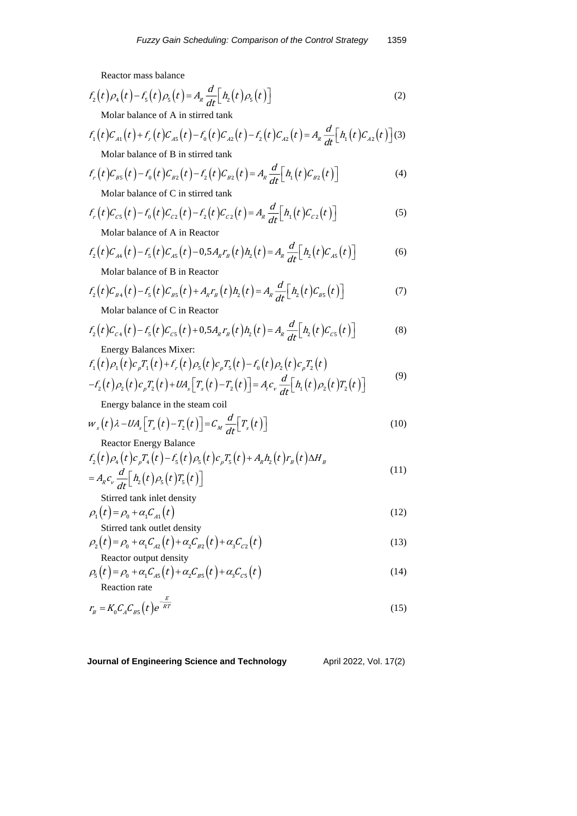Reactor mass balance

$$
f_2(t)\rho_4(t) - f_5(t)\rho_5(t) = A_R \frac{d}{dt} \Big[ h_2(t)\rho_5(t) \Big]
$$
\n(2)

Molar balance of A in stirred tank

$$
f_1(t)C_{A1}(t) + f_r(t)C_{A5}(t) - f_0(t)C_{A2}(t) - f_2(t)C_{A2}(t) = A_R \frac{d}{dt} \Big[ h_1(t)C_{A2}(t) \Big] (3)
$$

Molar balance of B in stirred tank

$$
f_r(t)C_{BS}(t) - f_0(t)C_{B2}(t) - f_2(t)C_{B2}(t) = A_R \frac{d}{dt} \Big[ h_1(t)C_{B2}(t) \Big]
$$
\nMolar balance of C in stirred tank

$$
f_r(t)C_{cs}(t) - f_0(t)C_{c2}(t) - f_2(t)C_{c2}(t) = A_R \frac{d}{dt} [h_1(t)C_{c2}(t)]
$$

Molar balance of A in Reactor

$$
f_2(t)C_{A4}(t) - f_5(t)C_{A5}(t) - 0.5A_R r_B(t)h_2(t) = A_R \frac{d}{dt} [h_2(t)C_{A5}(t)]
$$
 (6)

Molar balance of B in Reactor

$$
f_2(t)C_{B4}(t) - f_5(t)C_{B5}(t) + A_R r_B(t)h_2(t) = A_R \frac{d}{dt} \Big[ h_2(t)C_{B5}(t) \Big]
$$
\n(7)

Molar balance of C in Reactor

$$
f_2(t)C_{c4}(t) - f_5(t)C_{c5}(t) + 0.5A_R r_B(t)h_2(t) = A_R \frac{d}{dt} [h_2(t)C_{c5}(t)]
$$
\n(8)

Energy Balances Mixer:

$$
f_1(t)\rho_1(t)c_pT_1(t)+f_r(t)\rho_5(t)c_pT_5(t)-f_0(t)\rho_2(t)c_pT_2(t) -f_2(t)\rho_2(t)c_pT_2(t)+UA_s[T_s(t)-T_2(t)] = A_t c_v \frac{d}{dt}[h_1(t)\rho_2(t)T_2(t)]
$$
\n(9)

Energy balance in the steam coil

$$
w_s(t)\lambda - UA_s\big[T_s(t) - T_2(t)\big] = C_M \frac{d}{dt}\big[T_s(t)\big]
$$
\n(10)

Reactor Energy Balance

$$
f_2(t)\rho_4(t)c_pT_4(t) - f_5(t)\rho_5(t)c_pT_5(t) + A_Rh_2(t)r_B(t)\Delta H_B
$$
  
=  $A_Rc_v\frac{d}{dt}[h_2(t)\rho_5(t)T_5(t)]$  (11)

Stirred tank inlet density

$$
\rho_1(t) = \rho_0 + \alpha_1 C_{A1}(t)
$$
  
Stirred tank outlet density (12)

$$
\rho_2(t) = \rho_0 + \alpha_1 C_{A2}(t) + \alpha_2 C_{B2}(t) + \alpha_3 C_{C2}(t)
$$
\n  
\nReactor output density\n
$$
(13)
$$

$$
\rho_{5}(t) = \rho_{0} + \alpha_{1} C_{A5}(t) + \alpha_{2} C_{B5}(t) + \alpha_{3} C_{C5}(t)
$$
\nFactor rate

\n
$$
(14)
$$

Reaction rate

$$
r_{B} = K_{0} C_{A} C_{BS}(t) e^{-\frac{E}{RT}}
$$
\n(15)

**Journal of Engineering Science and Technology** April 2022, Vol. 17(2)

(5)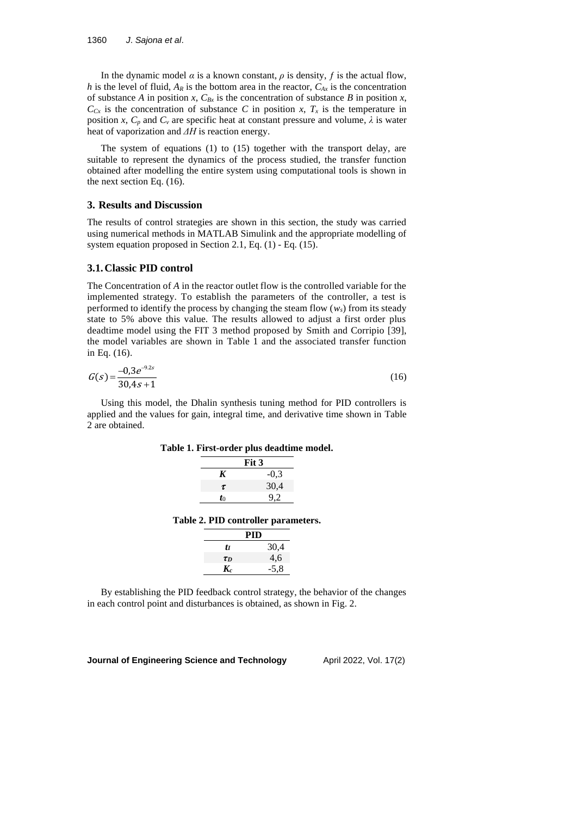In the dynamic model  $\alpha$  is a known constant,  $\rho$  is density,  $f$  is the actual flow, *h* is the level of fluid,  $A_R$  is the bottom area in the reactor,  $C_{Ax}$  is the concentration of substance *A* in position *x*,  $C_{Bx}$  is the concentration of substance *B* in position *x*,  $C_{Cx}$  is the concentration of substance *C* in position *x*,  $T_x$  is the temperature in position *x*,  $C_p$  and  $C_v$  are specific heat at constant pressure and volume,  $\lambda$  is water heat of vaporization and *ΔH* is reaction energy.

The system of equations (1) to (15) together with the transport delay, are suitable to represent the dynamics of the process studied, the transfer function obtained after modelling the entire system using computational tools is shown in the next section Eq. (16).

#### **3. Results and Discussion**

The results of control strategies are shown in this section, the study was carried using numerical methods in MATLAB Simulink and the appropriate modelling of system equation proposed in Section 2.1, Eq. (1) - Eq. (15).

### **3.1.Classic PID control**

The Concentration of *A* in the reactor outlet flow is the controlled variable for the implemented strategy. To establish the parameters of the controller, a test is performed to identify the process by changing the steam flow  $(w_s)$  from its steady state to 5% above this value. The results allowed to adjust a first order plus deadtime model using the FIT 3 method proposed by Smith and Corripio [39], the model variables are shown in Table 1 and the associated transfer function in Eq. (16).

$$
G(s) = \frac{-0.3e^{-9.2s}}{30.4s + 1}
$$
 (16)

Using this model, the Dhalin synthesis tuning method for PID controllers is applied and the values for gain, integral time, and derivative time shown in Table 2 are obtained.

**Table 1. First-order plus deadtime model.**

| Fit 3  |
|--------|
| $-0.3$ |
| 30,4   |
| 9,2    |
|        |

**Table 2. PID controller parameters.**

|          | PID    |
|----------|--------|
| tı       | 30,4   |
| $\tau_D$ | 4,6    |
| $K_c$    | $-5,8$ |

By establishing the PID feedback control strategy, the behavior of the changes in each control point and disturbances is obtained, as shown in Fig. 2.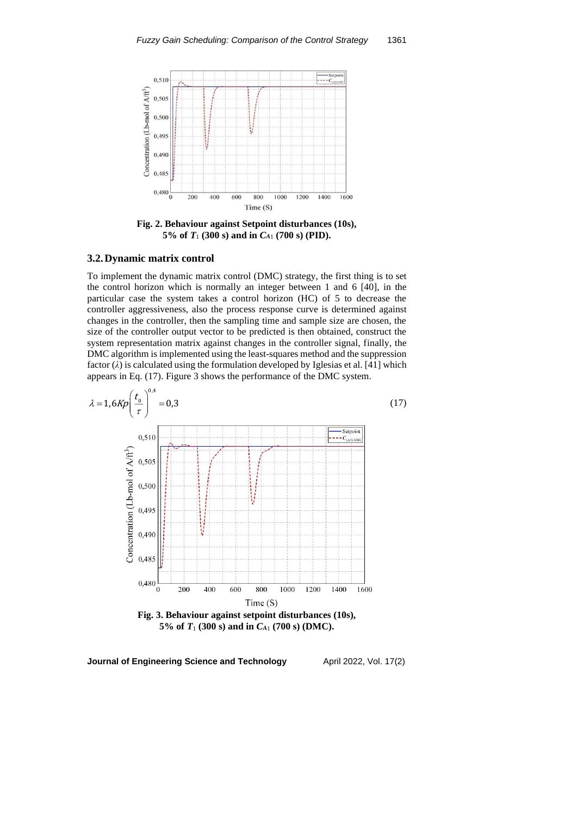

**Fig. 2. Behaviour against Setpoint disturbances (10s),**  5% of  $T_1$  (300 s) and in  $C_{41}$  (700 s) (PID).

### **3.2.Dynamic matrix control**

To implement the dynamic matrix control (DMC) strategy, the first thing is to set the control horizon which is normally an integer between 1 and 6 [40], in the particular case the system takes a control horizon (HC) of 5 to decrease the controller aggressiveness, also the process response curve is determined against changes in the controller, then the sampling time and sample size are chosen, the size of the controller output vector to be predicted is then obtained, construct the system representation matrix against changes in the controller signal, finally, the DMC algorithm is implemented using the least-squares method and the suppression factor (*λ*) is calculated using the formulation developed by Iglesias et al. [41] which appears in Eq. (17). Figure 3 shows the performance of the DMC system.



**5% of** *T*<sup>1</sup> **(300 s) and in** *C<sup>A</sup>*<sup>1</sup> **(700 s) (DMC).**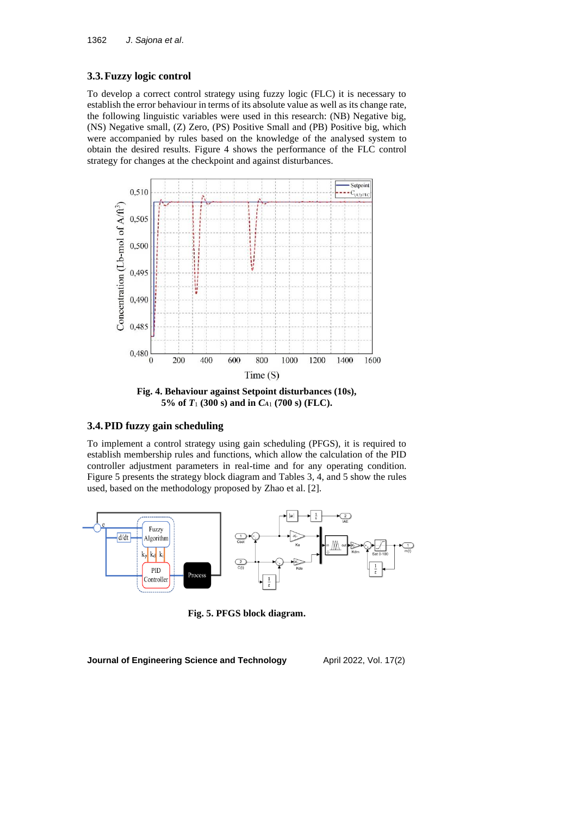# **3.3.Fuzzy logic control**

To develop a correct control strategy using fuzzy logic (FLC) it is necessary to establish the error behaviour in terms of its absolute value as well as its change rate, the following linguistic variables were used in this research: (NB) Negative big, (NS) Negative small, (Z) Zero, (PS) Positive Small and (PB) Positive big, which were accompanied by rules based on the knowledge of the analysed system to obtain the desired results. Figure 4 shows the performance of the FLC control strategy for changes at the checkpoint and against disturbances.



**Fig. 4. Behaviour against Setpoint disturbances (10s), 5% of** *T*<sup>1</sup> **(300 s) and in** *C<sup>A</sup>*<sup>1</sup> **(700 s) (FLC).**

# **3.4.PID fuzzy gain scheduling**

To implement a control strategy using gain scheduling (PFGS), it is required to establish membership rules and functions, which allow the calculation of the PID controller adjustment parameters in real-time and for any operating condition. Figure 5 presents the strategy block diagram and Tables 3, 4, and 5 show the rules used, based on the methodology proposed by Zhao et al. [2].



**Fig. 5. PFGS block diagram.**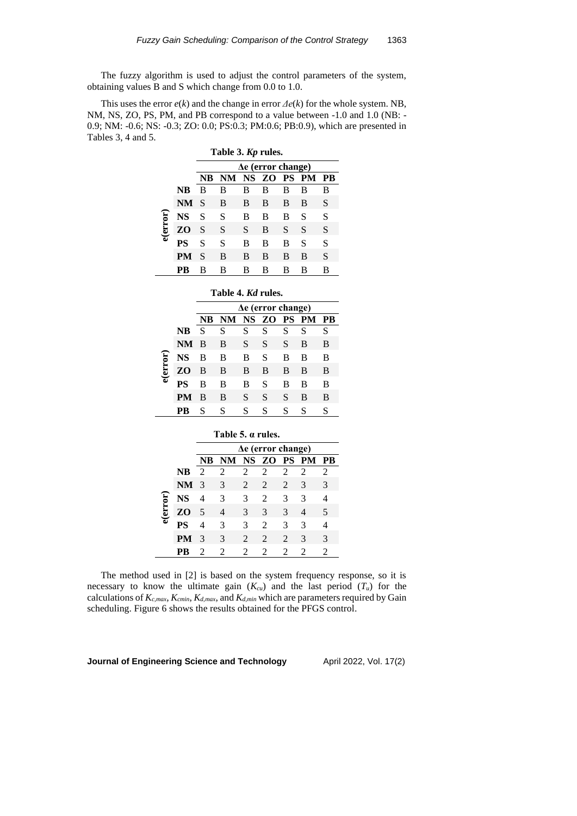The fuzzy algorithm is used to adjust the control parameters of the system, obtaining values B and S which change from 0.0 to 1.0.

This uses the error *e*(*k*) and the change in error *Δe*(*k*) for the whole system. NB, NM, NS, ZO, PS, PM, and PB correspond to a value between -1.0 and 1.0 (NB: - 0.9; NM: -0.6; NS: -0.3; ZO: 0.0; PS:0.3; PM:0.6; PB:0.9), which are presented in Tables 3, 4 and 5.

|          |           | Table 3. Kp rules.        |    |           |    |           |           |    |
|----------|-----------|---------------------------|----|-----------|----|-----------|-----------|----|
|          |           | $\Delta e$ (error change) |    |           |    |           |           |    |
|          |           | NB                        | NM | <b>NS</b> | ZO | <b>PS</b> | <b>PM</b> | РB |
|          | NB        | B                         | в  | в         | в  | в         | В         | В  |
| e(error) | <b>NM</b> | S                         | B  | B         | B  | B         | B         | S  |
|          | NS        | S                         | S  | В         | B  | В         | S         | S  |
|          | ZO        | S                         | S  | S         | B  | S         | S         | S  |
|          | PS        | S                         | S  | B         | B  | в         | S         | S  |
|          | PM        | S                         | B  | B         | B  | B         | B         | S  |
|          | R         | в                         | в  | в         | в  | в         | в         | В  |

**Table 4.** *Kd* **rules.**

|          |      | $\Delta e$ (error change) |     |           |          |   |   |    |
|----------|------|---------------------------|-----|-----------|----------|---|---|----|
|          |      | NB                        | NM. | <b>NS</b> | ZO PS PM |   |   | PB |
|          | NB   | S                         | S   | S         | S        | S | S | S  |
|          | NM B |                           | B   | S         | S        | S | B | B  |
|          | NS   | в                         | B   | B         | S        | B | B | B  |
| e(error) | ZO   | B                         | B   | B         | B        | B | B | B  |
|          | PS   | В                         | в   | B         | S        | в | в | B  |
|          | PМ   | B                         | B   | S         | S        | S | B | B  |
|          |      | S                         | S   | S         | S        | S | S | S  |

|          |           | Table 5. a rules. |     |                             |                |                             |                             |                |  |
|----------|-----------|-------------------|-----|-----------------------------|----------------|-----------------------------|-----------------------------|----------------|--|
|          |           | Δe (error change) |     |                             |                |                             |                             |                |  |
|          |           | NB                | NM. |                             | NS ZO PS PM    |                             |                             | - PB           |  |
|          | NB        | $\mathcal{D}$     | 2   | $\mathcal{D}_{\cdot}$       | $\mathfrak{D}$ | 2                           | $\mathcal{D}_{\mathcal{A}}$ | $\mathfrak{D}$ |  |
| e(error) | <b>NM</b> | -3                | 3   | 2                           | 2              | 2                           | $\mathcal{F}$               | 3              |  |
|          | NS        | 4                 | 3   | 3                           | 2              | 3                           | 3                           |                |  |
|          | ZO        | .5                | 4   | 3                           | 3              | 3                           | 4                           | 5              |  |
|          | PS        |                   | 3   | 3                           | $\mathfrak{D}$ | 3                           | 3                           |                |  |
|          | PМ        | 3                 | 3   | $\mathcal{L}$               | $\mathcal{L}$  | $\mathcal{D}_{\mathcal{L}}$ | 3                           | 3              |  |
|          | R         | 2                 | 2   | $\mathcal{D}_{\mathcal{L}}$ | 2              | 2                           | 2                           | 2              |  |

The method used in [2] is based on the system frequency response, so it is necessary to know the ultimate gain  $(K_{cu})$  and the last period  $(T_u)$  for the calculations of *Kc*,*max*, *Kcmin*, *Kd*,*max*, and *Kd*,*min* which are parameters required by Gain scheduling. Figure 6 shows the results obtained for the PFGS control.

**Journal of Engineering Science and Technology** April 2022, Vol. 17(2)

J.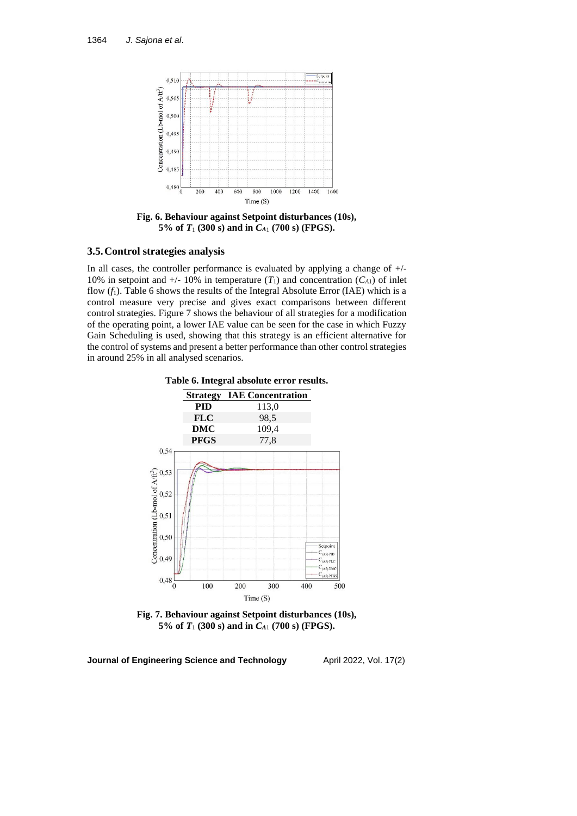

**Fig. 6. Behaviour against Setpoint disturbances (10s), 5% of** *T*<sup>1</sup> **(300 s) and in** *C<sup>A</sup>*<sup>1</sup> **(700 s) (FPGS).**

### **3.5.Control strategies analysis**

In all cases, the controller performance is evaluated by applying a change of  $+/-$ 10% in setpoint and  $+/- 10\%$  in temperature  $(T_1)$  and concentration  $(C_{A1})$  of inlet flow (*f*1). Table 6 shows the results of the Integral Absolute Error (IAE) which is a control measure very precise and gives exact comparisons between different control strategies. Figure 7 shows the behaviour of all strategies for a modification of the operating point, a lower IAE value can be seen for the case in which Fuzzy Gain Scheduling is used, showing that this strategy is an efficient alternative for the control of systems and present a better performance than other control strategies in around 25% in all analysed scenarios.





**Fig. 7. Behaviour against Setpoint disturbances (10s), 5% of** *T*<sup>1</sup> **(300 s) and in** *C<sup>A</sup>*<sup>1</sup> **(700 s) (FPGS).**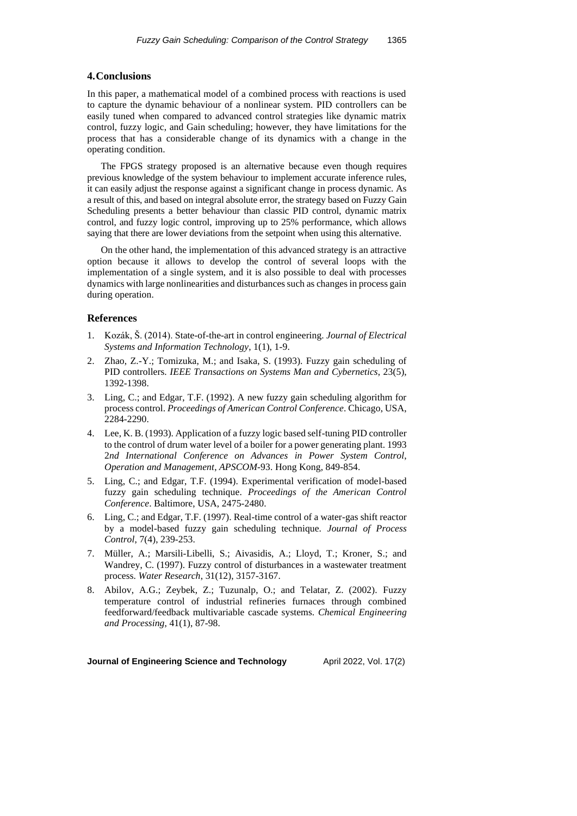### **4.Conclusions**

In this paper, a mathematical model of a combined process with reactions is used to capture the dynamic behaviour of a nonlinear system. PID controllers can be easily tuned when compared to advanced control strategies like dynamic matrix control, fuzzy logic, and Gain scheduling; however, they have limitations for the process that has a considerable change of its dynamics with a change in the operating condition.

The FPGS strategy proposed is an alternative because even though requires previous knowledge of the system behaviour to implement accurate inference rules, it can easily adjust the response against a significant change in process dynamic. As a result of this, and based on integral absolute error, the strategy based on Fuzzy Gain Scheduling presents a better behaviour than classic PID control, dynamic matrix control, and fuzzy logic control, improving up to 25% performance, which allows saying that there are lower deviations from the setpoint when using this alternative.

On the other hand, the implementation of this advanced strategy is an attractive option because it allows to develop the control of several loops with the implementation of a single system, and it is also possible to deal with processes dynamics with large nonlinearities and disturbances such as changes in process gain during operation.

# **References**

- 1. Kozák, Š. (2014). State-of-the-art in control engineering. *Journal of Electrical Systems and Information Technology*, 1(1), 1-9.
- 2. Zhao, Z.-Y.; Tomizuka, M.; and Isaka, S. (1993). Fuzzy gain scheduling of PID controllers. *IEEE Transactions on Systems Man and Cybernetics*, 23(5), 1392-1398.
- 3. Ling, C.; and Edgar, T.F. (1992). A new fuzzy gain scheduling algorithm for process control. *Proceedings of American Control Conference*. Chicago, USA, 2284-2290.
- 4. Lee, K. B. (1993). Application of a fuzzy logic based self-tuning PID controller to the control of drum water level of a boiler for a power generating plant. 1993 2*nd International Conference on Advances in Power System Control*, *Operation and Management*, *APSCOM-*93. Hong Kong, 849-854.
- 5. Ling, C.; and Edgar, T.F. (1994). Experimental verification of model-based fuzzy gain scheduling technique. *Proceedings of the American Control Conference*. Baltimore, USA, 2475-2480.
- 6. Ling, C.; and Edgar, T.F. (1997). Real-time control of a water-gas shift reactor by a model-based fuzzy gain scheduling technique. *Journal of Process Control*, 7(4), 239-253.
- 7. Müller, A.; Marsili-Libelli, S.; Aivasidis, A.; Lloyd, T.; Kroner, S.; and Wandrey, C. (1997). Fuzzy control of disturbances in a wastewater treatment process. *Water Research*, 31(12), 3157-3167.
- 8. Abilov, A.G.; Zeybek, Z.; Tuzunalp, O.; and Telatar, Z. (2002). Fuzzy temperature control of industrial refineries furnaces through combined feedforward/feedback multivariable cascade systems. *Chemical Engineering and Processing*, 41(1), 87-98.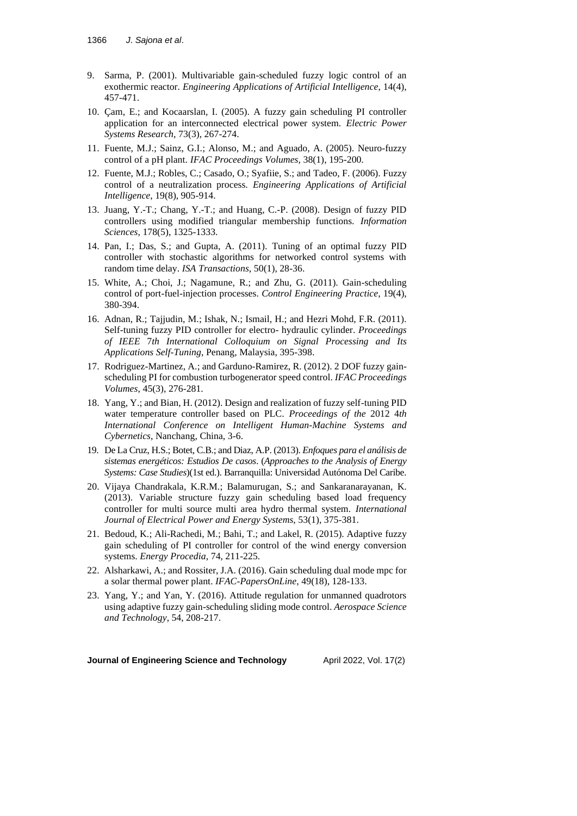- 9. Sarma, P. (2001). Multivariable gain-scheduled fuzzy logic control of an exothermic reactor. *Engineering Applications of Artificial Intelligence*, 14(4), 457-471.
- 10. Çam, E.; and Kocaarslan, I. (2005). A fuzzy gain scheduling PI controller application for an interconnected electrical power system. *Electric Power Systems Research*, 73(3), 267-274.
- 11. Fuente, M.J.; Sainz, G.I.; Alonso, M.; and Aguado, A. (2005). Neuro-fuzzy control of a pH plant. *IFAC Proceedings Volumes*, 38(1), 195-200.
- 12. Fuente, M.J.; Robles, C.; Casado, O.; Syafiie, S.; and Tadeo, F. (2006). Fuzzy control of a neutralization process. *Engineering Applications of Artificial Intelligence*, 19(8), 905-914.
- 13. Juang, Y.-T.; Chang, Y.-T.; and Huang, C.-P. (2008). Design of fuzzy PID controllers using modified triangular membership functions. *Information Sciences*, 178(5), 1325-1333.
- 14. Pan, I.; Das, S.; and Gupta, A. (2011). Tuning of an optimal fuzzy PID controller with stochastic algorithms for networked control systems with random time delay. *ISA Transactions*, 50(1), 28-36.
- 15. White, A.; Choi, J.; Nagamune, R.; and Zhu, G. (2011). Gain-scheduling control of port-fuel-injection processes. *Control Engineering Practice*, 19(4), 380-394.
- 16. Adnan, R.; Tajjudin, M.; Ishak, N.; Ismail, H.; and Hezri Mohd, F.R. (2011). Self-tuning fuzzy PID controller for electro- hydraulic cylinder. *Proceedings of IEEE* 7*th International Colloquium on Signal Processing and Its Applications Self-Tuning*, Penang, Malaysia, 395-398.
- 17. Rodriguez-Martinez, A.; and Garduno-Ramirez, R. (2012). 2 DOF fuzzy gainscheduling PI for combustion turbogenerator speed control. *IFAC Proceedings Volumes*, 45(3), 276-281.
- 18. Yang, Y.; and Bian, H. (2012). Design and realization of fuzzy self-tuning PID water temperature controller based on PLC. *Proceedings of the* 2012 4*th International Conference on Intelligent Human-Machine Systems and Cybernetics*, Nanchang, China, 3-6.
- 19. De La Cruz, H.S.; Botet, C.B.; and Diaz, A.P. (2013). *Enfoques para el análisis de sistemas energéticos: Estudios De casos*. (*Approaches to the Analysis of Energy Systems: Case Studies*)(1st ed.). Barranquilla: Universidad Autónoma Del Caribe.
- 20. Vijaya Chandrakala, K.R.M.; Balamurugan, S.; and Sankaranarayanan, K. (2013). Variable structure fuzzy gain scheduling based load frequency controller for multi source multi area hydro thermal system. *International Journal of Electrical Power and Energy Systems*, 53(1), 375-381.
- 21. Bedoud, K.; Ali-Rachedi, M.; Bahi, T.; and Lakel, R. (2015). Adaptive fuzzy gain scheduling of PI controller for control of the wind energy conversion systems. *Energy Procedia*, 74, 211-225.
- 22. Alsharkawi, A.; and Rossiter, J.A. (2016). Gain scheduling dual mode mpc for a solar thermal power plant. *IFAC-PapersOnLine*, 49(18), 128-133.
- 23. Yang, Y.; and Yan, Y. (2016). Attitude regulation for unmanned quadrotors using adaptive fuzzy gain-scheduling sliding mode control. *Aerospace Science and Technology*, 54, 208-217.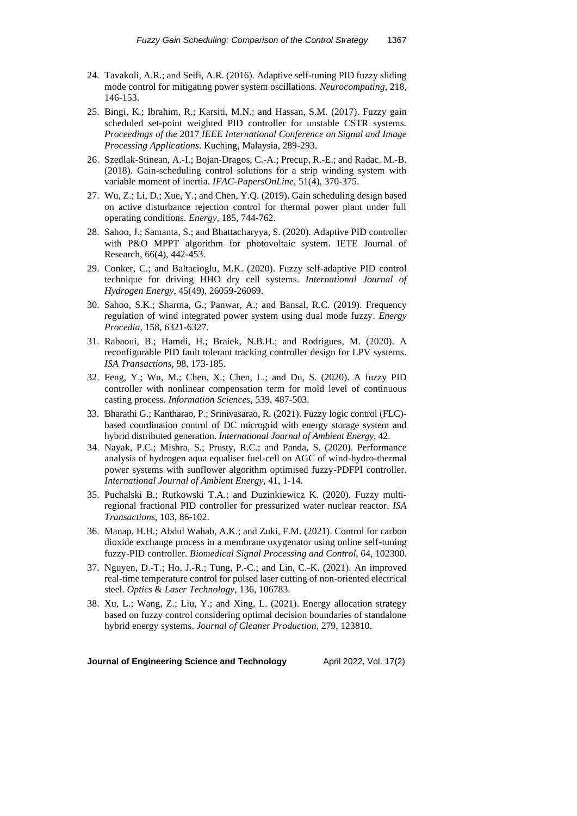- 24. Tavakoli, A.R.; and Seifi, A.R. (2016). Adaptive self-tuning PID fuzzy sliding mode control for mitigating power system oscillations. *Neurocomputing*, 218, 146-153.
- 25. Bingi, K.; Ibrahim, R.; Karsiti, M.N.; and Hassan, S.M. (2017). Fuzzy gain scheduled set-point weighted PID controller for unstable CSTR systems. *Proceedings of the* 2017 *IEEE International Conference on Signal and Image Processing Applications*. Kuching, Malaysia, 289-293.
- 26. Szedlak-Stinean, A.-I.; Bojan-Dragos, C.-A.; Precup, R.-E.; and Radac, M.-B. (2018). Gain-scheduling control solutions for a strip winding system with variable moment of inertia. *IFAC-PapersOnLine*, 51(4), 370-375.
- 27. Wu, Z.; Li, D.; Xue, Y.; and Chen, Y.Q. (2019). Gain scheduling design based on active disturbance rejection control for thermal power plant under full operating conditions. *Energy*, 185, 744-762.
- 28. Sahoo, J.; Samanta, S.; and Bhattacharyya, S. (2020). Adaptive PID controller with P&O MPPT algorithm for photovoltaic system. IETE Journal of Research, 66(4), 442-453.
- 29. Conker, C.; and Baltacioglu, M.K. (2020). Fuzzy self-adaptive PID control technique for driving HHO dry cell systems. *International Journal of Hydrogen Energy*, 45(49), 26059-26069.
- 30. Sahoo, S.K.; Sharma, G.; Panwar, A.; and Bansal, R.C. (2019). Frequency regulation of wind integrated power system using dual mode fuzzy. *Energy Procedia*, 158, 6321-6327.
- 31. Rabaoui, B.; Hamdi, H.; Braiek, N.B.H.; and Rodrigues, M. (2020). A reconfigurable PID fault tolerant tracking controller design for LPV systems. *ISA Transactions*, 98, 173-185.
- 32. Feng, Y.; Wu, M.; Chen, X.; Chen, L.; and Du, S. (2020). A fuzzy PID controller with nonlinear compensation term for mold level of continuous casting process. *Information Sciences*, 539, 487-503.
- 33. Bharathi G.; Kantharao, P.; Srinivasarao, R. (2021). Fuzzy logic control (FLC) based coordination control of DC microgrid with energy storage system and hybrid distributed generation. *International Journal of Ambient Energy*, 42.
- 34. Nayak, P.C.; Mishra, S.; Prusty, R.C.; and Panda, S. (2020). Performance analysis of hydrogen aqua equaliser fuel-cell on AGC of wind-hydro-thermal power systems with sunflower algorithm optimised fuzzy-PDFPI controller. *International Journal of Ambient Energy*, 41, 1-14.
- 35. Puchalski B.; Rutkowski T.A.; and Duzinkiewicz K. (2020). Fuzzy multiregional fractional PID controller for pressurized water nuclear reactor. *ISA Transactions*, 103, 86-102.
- 36. Manap, H.H.; Abdul Wahab, A.K.; and Zuki, F.M. (2021). Control for carbon dioxide exchange process in a membrane oxygenator using online self-tuning fuzzy-PID controller. *Biomedical Signal Processing and Control*, 64, 102300.
- 37. Nguyen, D.-T.; Ho, J.-R.; Tung, P.-C.; and Lin, C.-K. (2021). An improved real-time temperature control for pulsed laser cutting of non-oriented electrical steel. *Optics* & *Laser Technology*, 136, 106783.
- 38. Xu, L.; Wang, Z.; Liu, Y.; and Xing, L. (2021). Energy allocation strategy based on fuzzy control considering optimal decision boundaries of standalone hybrid energy systems. *Journal of Cleaner Production*, 279, 123810.